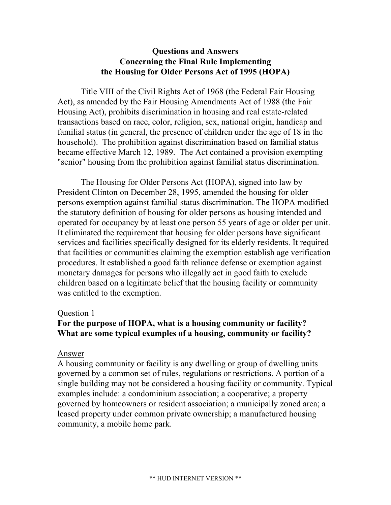# **Questions and Answers Concerning the Final Rule Implementing the Housing for Older Persons Act of 1995 (HOPA)**

Title VIII of the Civil Rights Act of 1968 (the Federal Fair Housing Act), as amended by the Fair Housing Amendments Act of 1988 (the Fair Housing Act), prohibits discrimination in housing and real estate-related transactions based on race, color, religion, sex, national origin, handicap and familial status (in general, the presence of children under the age of 18 in the household). The prohibition against discrimination based on familial status became effective March 12, 1989. The Act contained a provision exempting "senior" housing from the prohibition against familial status discrimination.

The Housing for Older Persons Act (HOPA), signed into law by President Clinton on December 28, 1995, amended the housing for older persons exemption against familial status discrimination. The HOPA modified the statutory definition of housing for older persons as housing intended and operated for occupancy by at least one person 55 years of age or older per unit. It eliminated the requirement that housing for older persons have significant services and facilities specifically designed for its elderly residents. It required that facilities or communities claiming the exemption establish age verification procedures. It established a good faith reliance defense or exemption against monetary damages for persons who illegally act in good faith to exclude children based on a legitimate belief that the housing facility or community was entitled to the exemption.

### Question 1

# **For the purpose of HOPA, what is a housing community or facility? What are some typical examples of a housing, community or facility?**

### Answer

A housing community or facility is any dwelling or group of dwelling units governed by a common set of rules, regulations or restrictions. A portion of a single building may not be considered a housing facility or community. Typical examples include: a condominium association; a cooperative; a property governed by homeowners or resident association; a municipally zoned area; a leased property under common private ownership; a manufactured housing community, a mobile home park.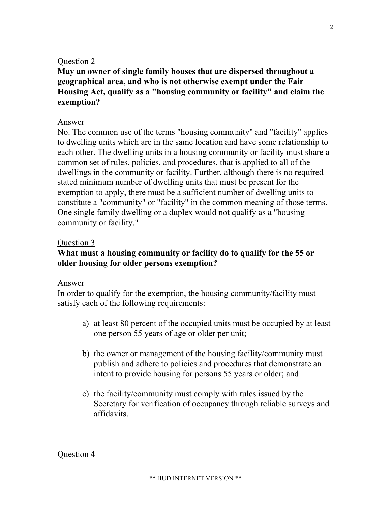**May an owner of single family houses that are dispersed throughout a geographical area, and who is not otherwise exempt under the Fair Housing Act, qualify as a "housing community or facility" and claim the exemption?** 

#### Answer

No. The common use of the terms "housing community" and "facility" applies to dwelling units which are in the same location and have some relationship to each other. The dwelling units in a housing community or facility must share a common set of rules, policies, and procedures, that is applied to all of the dwellings in the community or facility. Further, although there is no required stated minimum number of dwelling units that must be present for the exemption to apply, there must be a sufficient number of dwelling units to constitute a "community" or "facility" in the common meaning of those terms. One single family dwelling or a duplex would not qualify as a "housing community or facility."

### Question 3

# **What must a housing community or facility do to qualify for the 55 or older housing for older persons exemption?**

#### Answer

In order to qualify for the exemption, the housing community/facility must satisfy each of the following requirements:

- a) at least 80 percent of the occupied units must be occupied by at least one person 55 years of age or older per unit;
- b) the owner or management of the housing facility/community must publish and adhere to policies and procedures that demonstrate an intent to provide housing for persons 55 years or older; and
- c) the facility/community must comply with rules issued by the Secretary for verification of occupancy through reliable surveys and affidavits.

Question 4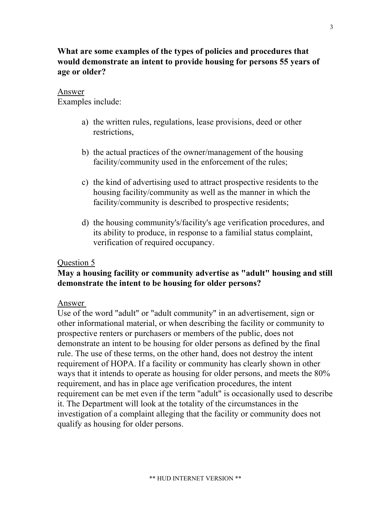# **What are some examples of the types of policies and procedures that would demonstrate an intent to provide housing for persons 55 years of age or older?**

# Answer

Examples include:

- a) the written rules, regulations, lease provisions, deed or other restrictions,
- b) the actual practices of the owner/management of the housing facility/community used in the enforcement of the rules;
- c) the kind of advertising used to attract prospective residents to the housing facility/community as well as the manner in which the facility/community is described to prospective residents;
- d) the housing community's/facility's age verification procedures, and its ability to produce, in response to a familial status complaint, verification of required occupancy.

# Question 5

# **May a housing facility or community advertise as "adult" housing and still demonstrate the intent to be housing for older persons?**

# Answer

Use of the word "adult" or "adult community" in an advertisement, sign or other informational material, or when describing the facility or community to prospective renters or purchasers or members of the public, does not demonstrate an intent to be housing for older persons as defined by the final rule. The use of these terms, on the other hand, does not destroy the intent requirement of HOPA. If a facility or community has clearly shown in other ways that it intends to operate as housing for older persons, and meets the 80% requirement, and has in place age verification procedures, the intent requirement can be met even if the term "adult" is occasionally used to describe it. The Department will look at the totality of the circumstances in the investigation of a complaint alleging that the facility or community does not qualify as housing for older persons.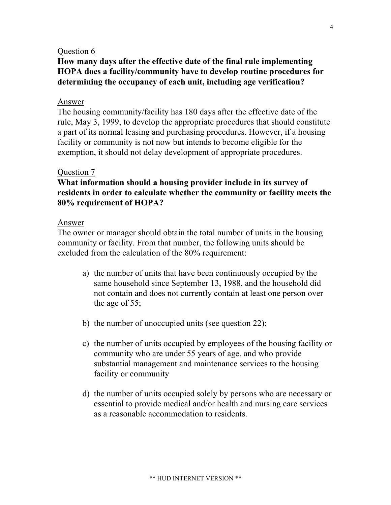# **How many days after the effective date of the final rule implementing HOPA does a facility/community have to develop routine procedures for determining the occupancy of each unit, including age verification?**

#### Answer

The housing community/facility has 180 days after the effective date of the rule, May 3, 1999, to develop the appropriate procedures that should constitute a part of its normal leasing and purchasing procedures. However, if a housing facility or community is not now but intends to become eligible for the exemption, it should not delay development of appropriate procedures.

#### Question 7

# **What information should a housing provider include in its survey of residents in order to calculate whether the community or facility meets the 80% requirement of HOPA?**

#### Answer

The owner or manager should obtain the total number of units in the housing community or facility. From that number, the following units should be excluded from the calculation of the 80% requirement:

- a) the number of units that have been continuously occupied by the same household since September 13, 1988, and the household did not contain and does not currently contain at least one person over the age of 55;
- b) the number of unoccupied units (see question 22);
- c) the number of units occupied by employees of the housing facility or community who are under 55 years of age, and who provide substantial management and maintenance services to the housing facility or community
- d) the number of units occupied solely by persons who are necessary or essential to provide medical and/or health and nursing care services as a reasonable accommodation to residents.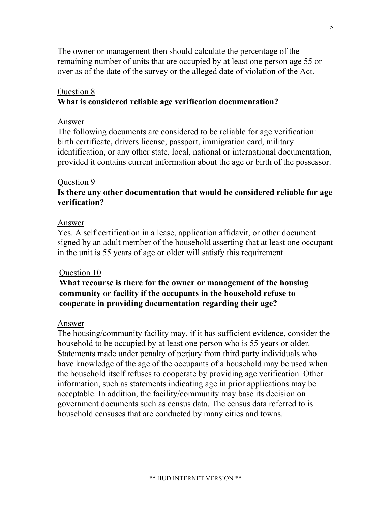The owner or management then should calculate the percentage of the remaining number of units that are occupied by at least one person age 55 or over as of the date of the survey or the alleged date of violation of the Act.

#### Ouestion 8

#### **What is considered reliable age verification documentation?**

#### Answer

The following documents are considered to be reliable for age verification: birth certificate, drivers license, passport, immigration card, military identification, or any other state, local, national or international documentation, provided it contains current information about the age or birth of the possessor.

#### Question 9

# **Is there any other documentation that would be considered reliable for age verification?**

#### Answer

Yes. A self certification in a lease, application affidavit, or other document signed by an adult member of the household asserting that at least one occupant in the unit is 55 years of age or older will satisfy this requirement.

#### Question 10

# **What recourse is there for the owner or management of the housing community or facility if the occupants in the household refuse to cooperate in providing documentation regarding their age?**

#### Answer

The housing/community facility may, if it has sufficient evidence, consider the household to be occupied by at least one person who is 55 years or older. Statements made under penalty of perjury from third party individuals who have knowledge of the age of the occupants of a household may be used when the household itself refuses to cooperate by providing age verification. Other information, such as statements indicating age in prior applications may be acceptable. In addition, the facility/community may base its decision on government documents such as census data. The census data referred to is household censuses that are conducted by many cities and towns.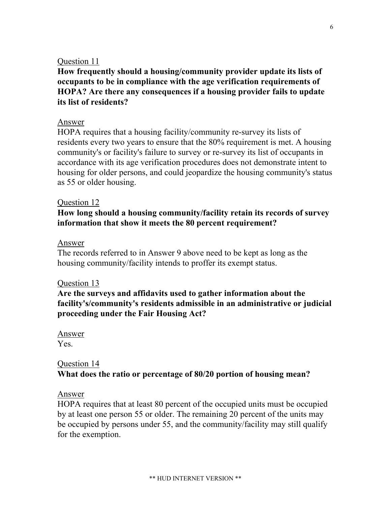**How frequently should a housing/community provider update its lists of occupants to be in compliance with the age verification requirements of HOPA? Are there any consequences if a housing provider fails to update its list of residents?** 

# Answer

HOPA requires that a housing facility/community re-survey its lists of residents every two years to ensure that the 80% requirement is met. A housing community's or facility's failure to survey or re-survey its list of occupants in accordance with its age verification procedures does not demonstrate intent to housing for older persons, and could jeopardize the housing community's status as 55 or older housing.

# Question 12

**How long should a housing community/facility retain its records of survey information that show it meets the 80 percent requirement?** 

# Answer

The records referred to in Answer 9 above need to be kept as long as the housing community/facility intends to proffer its exempt status.

# Question 13

**Are the surveys and affidavits used to gather information about the facility's/community's residents admissible in an administrative or judicial proceeding under the Fair Housing Act?** 

```
Answer
Yes.
```
# Question 14 **What does the ratio or percentage of 80/20 portion of housing mean?**

# Answer

HOPA requires that at least 80 percent of the occupied units must be occupied by at least one person 55 or older. The remaining 20 percent of the units may be occupied by persons under 55, and the community/facility may still qualify for the exemption.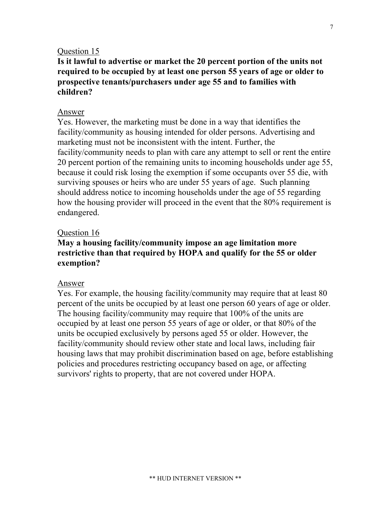**Is it lawful to advertise or market the 20 percent portion of the units not required to be occupied by at least one person 55 years of age or older to prospective tenants/purchasers under age 55 and to families with children?** 

#### Answer

Yes. However, the marketing must be done in a way that identifies the facility/community as housing intended for older persons. Advertising and marketing must not be inconsistent with the intent. Further, the facility/community needs to plan with care any attempt to sell or rent the entire 20 percent portion of the remaining units to incoming households under age 55, because it could risk losing the exemption if some occupants over 55 die, with surviving spouses or heirs who are under 55 years of age. Such planning should address notice to incoming households under the age of 55 regarding how the housing provider will proceed in the event that the 80% requirement is endangered.

#### Question 16

# **May a housing facility/community impose an age limitation more restrictive than that required by HOPA and qualify for the 55 or older exemption?**

#### Answer

Yes. For example, the housing facility/community may require that at least 80 percent of the units be occupied by at least one person 60 years of age or older. The housing facility/community may require that 100% of the units are occupied by at least one person 55 years of age or older, or that 80% of the units be occupied exclusively by persons aged 55 or older. However, the facility/community should review other state and local laws, including fair housing laws that may prohibit discrimination based on age, before establishing policies and procedures restricting occupancy based on age, or affecting survivors' rights to property, that are not covered under HOPA.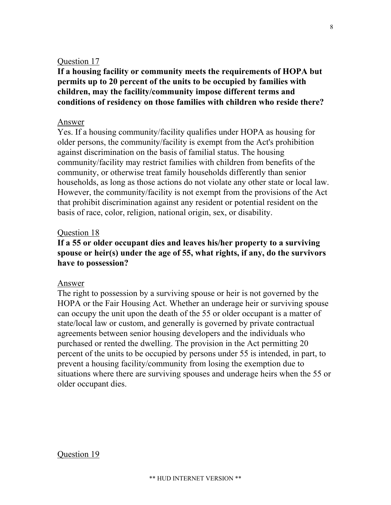**If a housing facility or community meets the requirements of HOPA but permits up to 20 percent of the units to be occupied by families with children, may the facility/community impose different terms and conditions of residency on those families with children who reside there?** 

#### Answer

Yes. If a housing community/facility qualifies under HOPA as housing for older persons, the community/facility is exempt from the Act's prohibition against discrimination on the basis of familial status. The housing community/facility may restrict families with children from benefits of the community, or otherwise treat family households differently than senior households, as long as those actions do not violate any other state or local law. However, the community/facility is not exempt from the provisions of the Act that prohibit discrimination against any resident or potential resident on the basis of race, color, religion, national origin, sex, or disability.

#### Question 18

# **If a 55 or older occupant dies and leaves his/her property to a surviving spouse or heir(s) under the age of 55, what rights, if any, do the survivors have to possession?**

#### Answer

The right to possession by a surviving spouse or heir is not governed by the HOPA or the Fair Housing Act. Whether an underage heir or surviving spouse can occupy the unit upon the death of the 55 or older occupant is a matter of state/local law or custom, and generally is governed by private contractual agreements between senior housing developers and the individuals who purchased or rented the dwelling. The provision in the Act permitting 20 percent of the units to be occupied by persons under 55 is intended, in part, to prevent a housing facility/community from losing the exemption due to situations where there are surviving spouses and underage heirs when the 55 or older occupant dies.

#### Question 19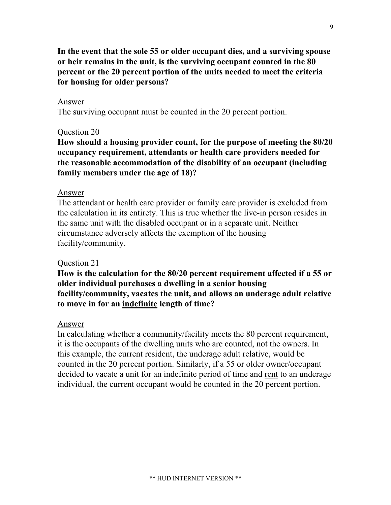**In the event that the sole 55 or older occupant dies, and a surviving spouse or heir remains in the unit, is the surviving occupant counted in the 80 percent or the 20 percent portion of the units needed to meet the criteria for housing for older persons?**

#### Answer

The surviving occupant must be counted in the 20 percent portion.

#### Question 20

**How should a housing provider count, for the purpose of meeting the 80/20 occupancy requirement, attendants or health care providers needed for the reasonable accommodation of the disability of an occupant (including family members under the age of 18)?** 

#### Answer

The attendant or health care provider or family care provider is excluded from the calculation in its entirety. This is true whether the live-in person resides in the same unit with the disabled occupant or in a separate unit. Neither circumstance adversely affects the exemption of the housing facility/community.

#### Question 21

**How is the calculation for the 80/20 percent requirement affected if a 55 or older individual purchases a dwelling in a senior housing facility/community, vacates the unit, and allows an underage adult relative to move in for an indefinite length of time?** 

#### Answer

In calculating whether a community/facility meets the 80 percent requirement, it is the occupants of the dwelling units who are counted, not the owners. In this example, the current resident, the underage adult relative, would be counted in the 20 percent portion. Similarly, if a 55 or older owner/occupant decided to vacate a unit for an indefinite period of time and rent to an underage individual, the current occupant would be counted in the 20 percent portion.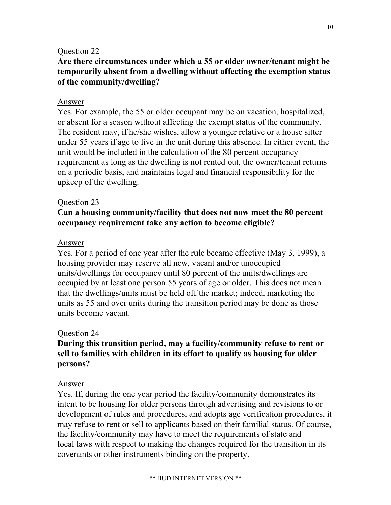# **Are there circumstances under which a 55 or older owner/tenant might be temporarily absent from a dwelling without affecting the exemption status of the community/dwelling?**

# Answer

Yes. For example, the 55 or older occupant may be on vacation, hospitalized, or absent for a season without affecting the exempt status of the community. The resident may, if he/she wishes, allow a younger relative or a house sitter under 55 years if age to live in the unit during this absence. In either event, the unit would be included in the calculation of the 80 percent occupancy requirement as long as the dwelling is not rented out, the owner/tenant returns on a periodic basis, and maintains legal and financial responsibility for the upkeep of the dwelling.

# Question 23

# **Can a housing community/facility that does not now meet the 80 percent occupancy requirement take any action to become eligible?**

# Answer

Yes. For a period of one year after the rule became effective (May 3, 1999), a housing provider may reserve all new, vacant and/or unoccupied units/dwellings for occupancy until 80 percent of the units/dwellings are occupied by at least one person 55 years of age or older. This does not mean that the dwellings/units must be held off the market; indeed, marketing the units as 55 and over units during the transition period may be done as those units become vacant.

# Question 24

# **During this transition period, may a facility/community refuse to rent or sell to families with children in its effort to qualify as housing for older persons?**

# Answer

Yes. If, during the one year period the facility/community demonstrates its intent to be housing for older persons through advertising and revisions to or development of rules and procedures, and adopts age verification procedures, it may refuse to rent or sell to applicants based on their familial status. Of course, the facility/community may have to meet the requirements of state and local laws with respect to making the changes required for the transition in its covenants or other instruments binding on the property.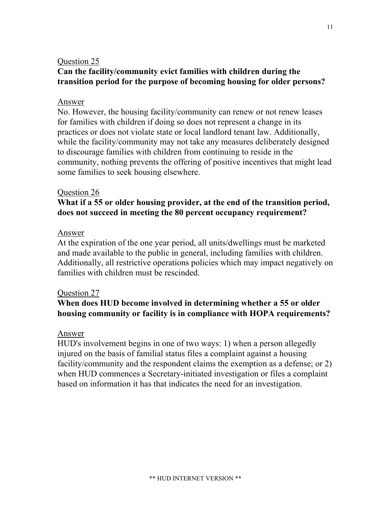# **Can the facility/community evict families with children during the transition period for the purpose of becoming housing for older persons?**

### Answer

No. However, the housing facility/community can renew or not renew leases for families with children if doing so does not represent a change in its practices or does not violate state or local landlord tenant law. Additionally, while the facility/community may not take any measures deliberately designed to discourage families with children from continuing to reside in the community, nothing prevents the offering of positive incentives that might lead some families to seek housing elsewhere.

### Question 26

# **What if a 55 or older housing provider, at the end of the transition period, does not succeed in meeting the 80 percent occupancy requirement?**

### Answer

At the expiration of the one year period, all units/dwellings must be marketed and made available to the public in general, including families with children. Additionally, all restrictive operations policies which may impact negatively on families with children must be rescinded.

# Question 27

# **When does HUD become involved in determining whether a 55 or older housing community or facility is in compliance with HOPA requirements?**

### Answer

HUD's involvement begins in one of two ways: 1) when a person allegedly injured on the basis of familial status files a complaint against a housing facility/community and the respondent claims the exemption as a defense; or 2) when HUD commences a Secretary-initiated investigation or files a complaint based on information it has that indicates the need for an investigation.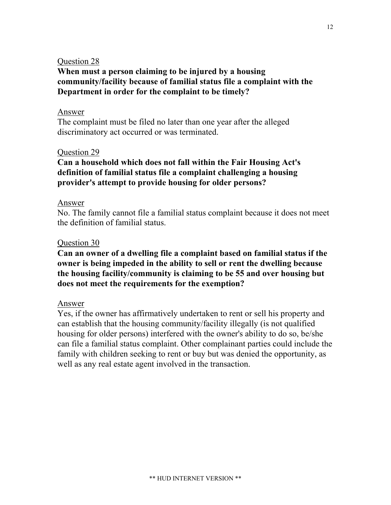# **When must a person claiming to be injured by a housing community/facility because of familial status file a complaint with the Department in order for the complaint to be timely?**

### Answer

The complaint must be filed no later than one year after the alleged discriminatory act occurred or was terminated.

# Question 29

# **Can a household which does not fall within the Fair Housing Act's definition of familial status file a complaint challenging a housing provider's attempt to provide housing for older persons?**

# Answer

No. The family cannot file a familial status complaint because it does not meet the definition of familial status.

# Question 30

**Can an owner of a dwelling file a complaint based on familial status if the owner is being impeded in the ability to sell or rent the dwelling because the housing facility/community is claiming to be 55 and over housing but does not meet the requirements for the exemption?** 

# Answer

Yes, if the owner has affirmatively undertaken to rent or sell his property and can establish that the housing community/facility illegally (is not qualified housing for older persons) interfered with the owner's ability to do so, be/she can file a familial status complaint. Other complainant parties could include the family with children seeking to rent or buy but was denied the opportunity, as well as any real estate agent involved in the transaction.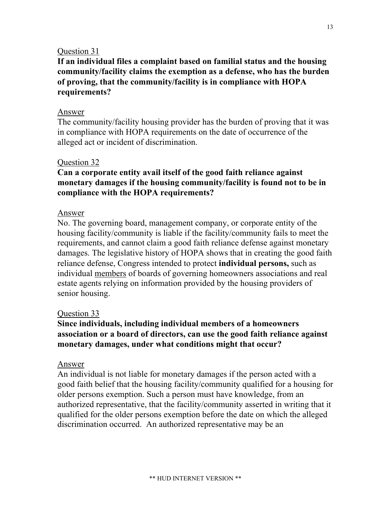**If an individual files a complaint based on familial status and the housing community/facility claims the exemption as a defense, who has the burden of proving, that the community/facility is in compliance with HOPA requirements?** 

### Answer

The community/facility housing provider has the burden of proving that it was in compliance with HOPA requirements on the date of occurrence of the alleged act or incident of discrimination.

# Question 32

**Can a corporate entity avail itself of the good faith reliance against monetary damages if the housing community/facility is found not to be in compliance with the HOPA requirements?** 

# Answer

No. The governing board, management company, or corporate entity of the housing facility/community is liable if the facility/community fails to meet the requirements, and cannot claim a good faith reliance defense against monetary damages. The legislative history of HOPA shows that in creating the good faith reliance defense, Congress intended to protect **individual persons,** such as individual members of boards of governing homeowners associations and real estate agents relying on information provided by the housing providers of senior housing.

# Question 33

# **Since individuals, including individual members of a homeowners association or a board of directors, can use the good faith reliance against monetary damages, under what conditions might that occur?**

### Answer

An individual is not liable for monetary damages if the person acted with a good faith belief that the housing facility/community qualified for a housing for older persons exemption. Such a person must have knowledge, from an authorized representative, that the facility/community asserted in writing that it qualified for the older persons exemption before the date on which the alleged discrimination occurred. An authorized representative may be an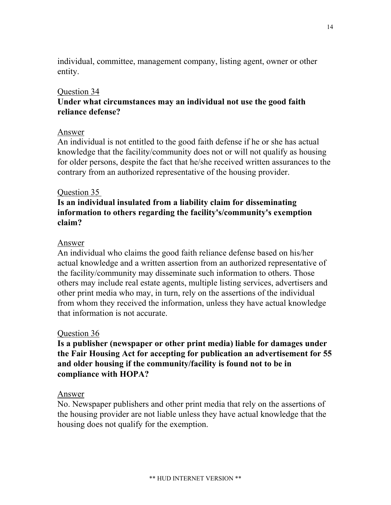individual, committee, management company, listing agent, owner or other entity.

# Question 34

# **Under what circumstances may an individual not use the good faith reliance defense?**

### Answer

An individual is not entitled to the good faith defense if he or she has actual knowledge that the facility/community does not or will not qualify as housing for older persons, despite the fact that he/she received written assurances to the contrary from an authorized representative of the housing provider.

### Question 35

# **Is an individual insulated from a liability claim for disseminating information to others regarding the facility's/community's exemption claim?**

### Answer

An individual who claims the good faith reliance defense based on his/her actual knowledge and a written assertion from an authorized representative of the facility/community may disseminate such information to others. Those others may include real estate agents, multiple listing services, advertisers and other print media who may, in turn, rely on the assertions of the individual from whom they received the information, unless they have actual knowledge that information is not accurate.

### Question 36

**Is a publisher (newspaper or other print media) liable for damages under the Fair Housing Act for accepting for publication an advertisement for 55 and older housing if the community/facility is found not to be in compliance with HOPA?** 

### Answer

No. Newspaper publishers and other print media that rely on the assertions of the housing provider are not liable unless they have actual knowledge that the housing does not qualify for the exemption.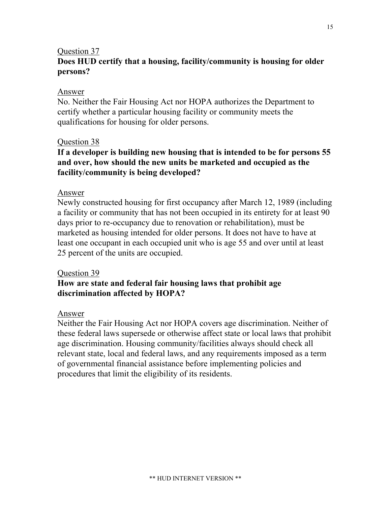# Question 37 **Does HUD certify that a housing, facility/community is housing for older persons?**

### Answer

No. Neither the Fair Housing Act nor HOPA authorizes the Department to certify whether a particular housing facility or community meets the qualifications for housing for older persons.

### Question 38

# **If a developer is building new housing that is intended to be for persons 55 and over, how should the new units be marketed and occupied as the facility/community is being developed?**

### Answer

Newly constructed housing for first occupancy after March 12, 1989 (including a facility or community that has not been occupied in its entirety for at least 90 days prior to re-occupancy due to renovation or rehabilitation), must be marketed as housing intended for older persons. It does not have to have at least one occupant in each occupied unit who is age 55 and over until at least 25 percent of the units are occupied.

### Question 39

# **How are state and federal fair housing laws that prohibit age discrimination affected by HOPA?**

# Answer

Neither the Fair Housing Act nor HOPA covers age discrimination. Neither of these federal laws supersede or otherwise affect state or local laws that prohibit age discrimination. Housing community/facilities always should check all relevant state, local and federal laws, and any requirements imposed as a term of governmental financial assistance before implementing policies and procedures that limit the eligibility of its residents.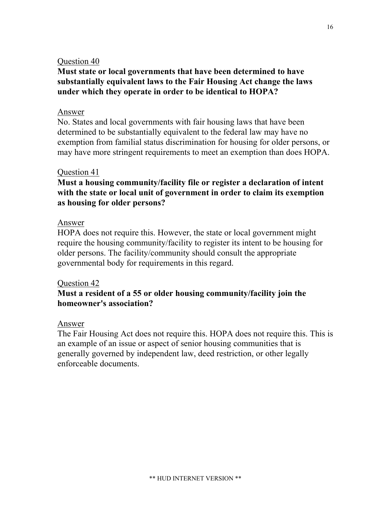# **Must state or local governments that have been determined to have substantially equivalent laws to the Fair Housing Act change the laws under which they operate in order to be identical to HOPA?**

### Answer

No. States and local governments with fair housing laws that have been determined to be substantially equivalent to the federal law may have no exemption from familial status discrimination for housing for older persons, or may have more stringent requirements to meet an exemption than does HOPA.

# Question 41

# **Must a housing community/facility file or register a declaration of intent with the state or local unit of government in order to claim its exemption as housing for older persons?**

# Answer

HOPA does not require this. However, the state or local government might require the housing community/facility to register its intent to be housing for older persons. The facility/community should consult the appropriate governmental body for requirements in this regard.

# Question 42

# **Must a resident of a 55 or older housing community/facility join the homeowner's association?**

# Answer

The Fair Housing Act does not require this. HOPA does not require this. This is an example of an issue or aspect of senior housing communities that is generally governed by independent law, deed restriction, or other legally enforceable documents.